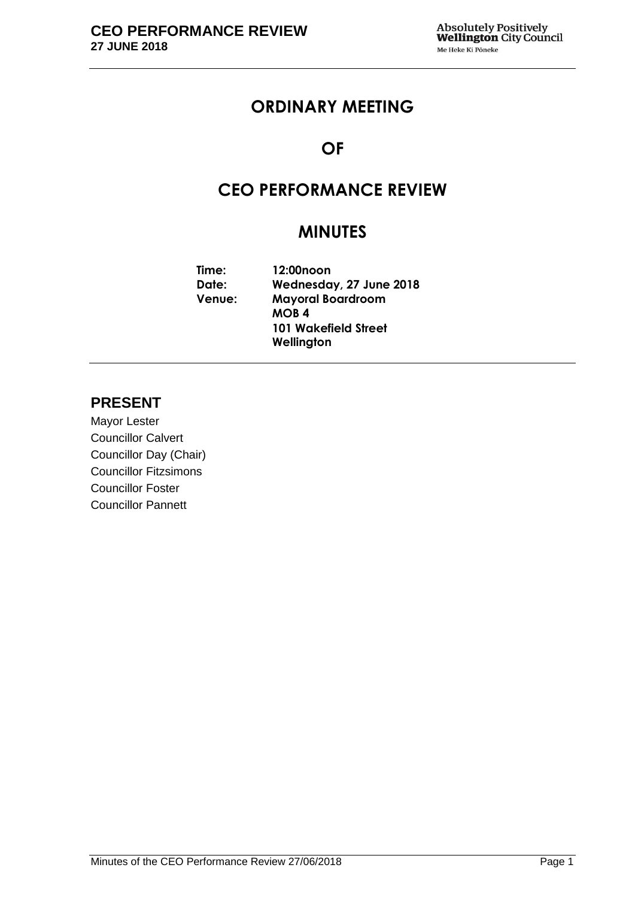## **ORDINARY MEETING**

### **OF**

## **CEO PERFORMANCE REVIEW**

## **MINUTES**

| Time:  | 12:00noon                   |
|--------|-----------------------------|
| Date:  | Wednesday, 27 June 2018     |
| Venue: | <b>Mayoral Boardroom</b>    |
|        | <b>MOB4</b>                 |
|        | <b>101 Wakefield Street</b> |
|        | Wellington                  |

### **PRESENT**

Mayor Lester Councillor Calvert Councillor Day (Chair) Councillor Fitzsimons Councillor Foster Councillor Pannett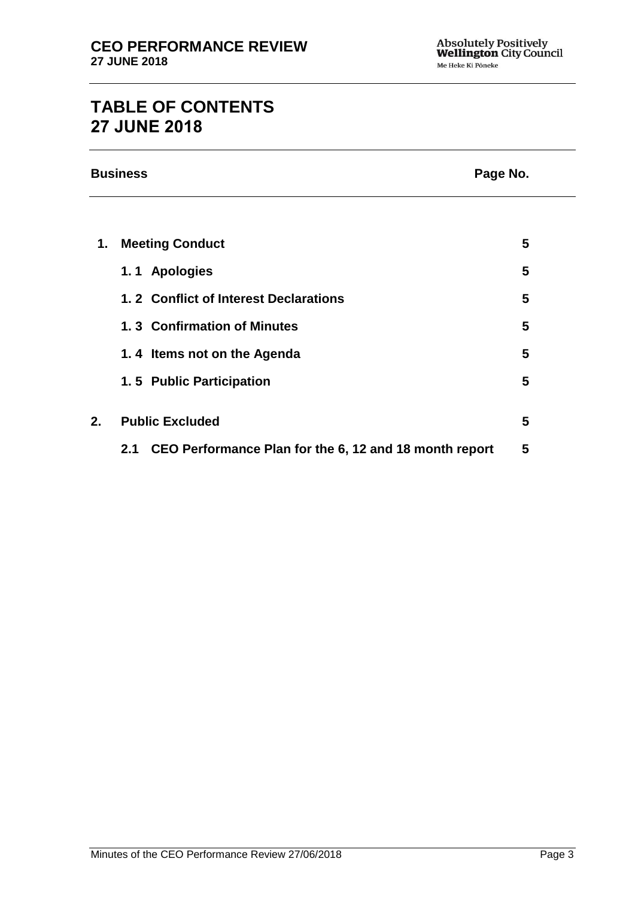# **TABLE OF CONTENTS 27 JUNE 2018**

|    | <b>Business</b><br>Page No.                                   |   |
|----|---------------------------------------------------------------|---|
|    |                                                               |   |
| 1. | <b>Meeting Conduct</b>                                        | 5 |
|    | 1.1 Apologies                                                 | 5 |
|    | 1.2 Conflict of Interest Declarations                         | 5 |
|    | 1.3 Confirmation of Minutes                                   | 5 |
|    | 1.4 Items not on the Agenda                                   | 5 |
|    | 1.5 Public Participation                                      | 5 |
|    |                                                               |   |
| 2. | <b>Public Excluded</b>                                        | 5 |
|    | CEO Performance Plan for the 6, 12 and 18 month report<br>2.1 | 5 |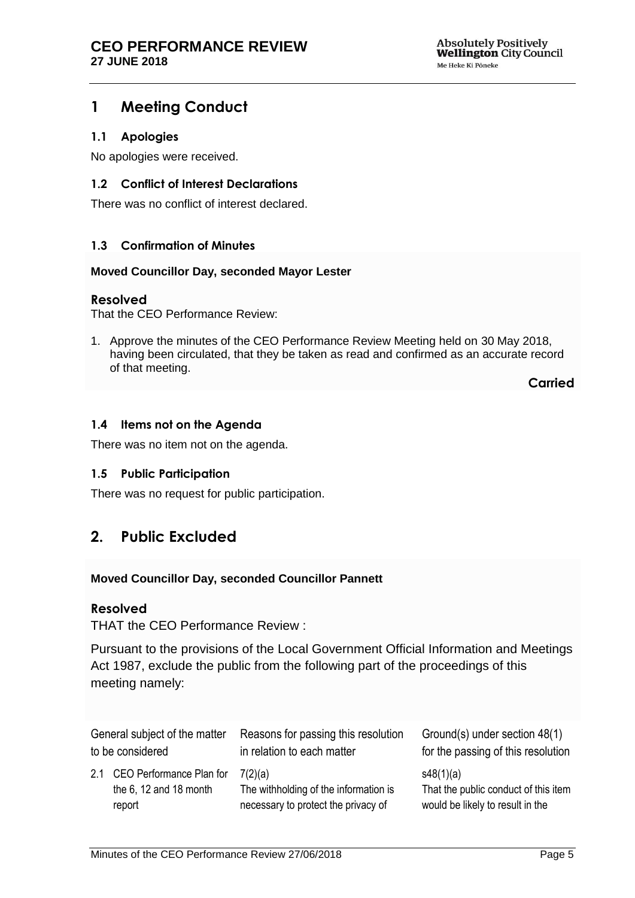### <span id="page-4-0"></span>**1 Meeting Conduct**

#### <span id="page-4-1"></span>**1.1 Apologies**

No apologies were received.

#### <span id="page-4-2"></span>**1.2 Conflict of Interest Declarations**

There was no conflict of interest declared.

#### <span id="page-4-3"></span>**1.3 Confirmation of Minutes**

#### **Moved Councillor Day, seconded Mayor Lester**

#### **Resolved**

That the CEO Performance Review:

1. Approve the minutes of the CEO Performance Review Meeting held on 30 May 2018, having been circulated, that they be taken as read and confirmed as an accurate record of that meeting.

**Carried**

#### <span id="page-4-4"></span>**1.4 Items not on the Agenda**

There was no item not on the agenda.

#### **1.5 Public Participation**

There was no request for public participation.

### <span id="page-4-5"></span>**2. Public Excluded**

#### **Moved Councillor Day, seconded Councillor Pannett**

#### **Resolved**

THAT the CEO Performance Review :

Pursuant to the provisions of the Local Government Official Information and Meetings Act 1987, exclude the public from the following part of the proceedings of this meeting namely:

<span id="page-4-6"></span>

| General subject of the matter | Reasons for passing this resolution   | Ground(s) under section 48(1)        |
|-------------------------------|---------------------------------------|--------------------------------------|
| to be considered              | in relation to each matter            | for the passing of this resolution   |
| 2.1 CEO Performance Plan for  | 7(2)(a)                               | s48(1)(a)                            |
| the $6, 12$ and $18$ month    | The withholding of the information is | That the public conduct of this item |
| report                        | necessary to protect the privacy of   | would be likely to result in the     |